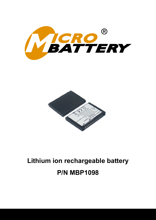



# **Lithium ion rechargeable battery P/N MBP1098**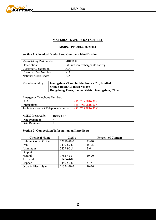

# **MATERIAL SAFETY DATA SHEET**

## **MSDS**:**PPL2014-00220004**

## **Section 1: Chemical Product and Company Identification**

| MicroBattery Part number:    | <b>MBP1098</b>                   |
|------------------------------|----------------------------------|
| Description:                 | Lithium ion rechargeable battery |
| <b>Customer Description:</b> | N/A                              |
| <b>Customer Part Number:</b> | N/A                              |
| National Stock Code:         | N/A                              |

| Manufactured by: | Guangzhou Zhan Hui Electronics Co., Limited      |  |
|------------------|--------------------------------------------------|--|
|                  | <b>Shinan Road, Guantan Village</b>              |  |
|                  | Dongchong Town, Panyu District, Guangzhou, China |  |

| Emergency Telephone Number:        |                      |
|------------------------------------|----------------------|
| USA                                | $(86)$ 755 2816 3081 |
| International                      | $(86)$ 755 2816 3081 |
| Technical Contact Telephone Number | $(86)$ 755 2816 3081 |

| <b>MSDS</b> Prepared by: | Ricky Lee |
|--------------------------|-----------|
| Date Prepared:           |           |
| Date Reviewed:           |           |

## **Section 2: Composition/Information on Ingredients**

| <b>Chemical Name</b> | CAS#       | <b>Percent of Content</b> |
|----------------------|------------|---------------------------|
| Lithium Cobalt Oxide | 12190-79-3 | 25-40                     |
| Iron                 | 7439-89-6  | $15 - 25$                 |
| Aluminum             | 7429-90-5  | $2 - 6$                   |
| Graphite             |            |                           |
| Natural              | 7782-42-5  | $10 - 20$                 |
| Artificial           | 7740-44-0  |                           |
| Copper               | 7440-50-8  | $5 - 15$                  |
| Organic Electrolyte  | 21324-40-3 | $10 - 20$                 |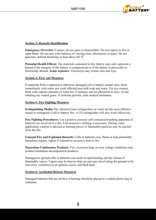

## **Section 3: Hazards Identification**

**Emergency Overview:** Caution, do not open or disassemble. Do not expose to fire or open flame. Do not mix with batteries of varying sizes, chemistries or types. Do not puncture, deform incinerate or heat above 60 °C.

**Potential Health Effects:** The materials contained in this battery may only represent a hazard if the integrity of the battery is compromised or if the battery is physically or electrically abused. **Acute exposure**: Electrolyte may irritate skin and eyes.

## **Section 4: First Aid Measures**

If materials from a ruptured or otherwise damaged cell or battery contact skin, flush immediately with water and wash affected area with soap and water. For eye contact, flush with copious amounts of water for 15 minutes and see physician at once. Avoid inhaling any vented gases. If irritation persists, seek medical assistance.

#### **Section 5: Fire Fighting Measures**

**Extinguishing Media:** Dry chemical type extinguishers or water are the most effective means to extinguish a cell or battery fire. A CO extinguisher will also work effectively.

**Fire Fighting Procedures:** Use a positive pressure self-contained breathing apparatus if batteries are involved in a fire. Full protective clothing is necessary. During water application, caution is advised as burning pieces of flammable particles may be ejected from the fire.

**Unusual Fire and Explosion Hazards:** Cells or batteries may flame or leak potentially hazardous organic vapors if exposed to excessive heat or fire.

**Hazardous Combustion Products:** Fire, excessive heat, or over voltage conditions may produce hazardous decomposition products.

Damaged or opened cells or batteries can result in rapid heating and the release of flammable vapors. Vapors may be heavier than air and may travel along the ground or be moved by ventilation to an ignition source and flash back.

#### **Section 6: Accidental Release Measures**

Damaged batteries that are not hot or burning should be placed in a sealed plastic bag or container.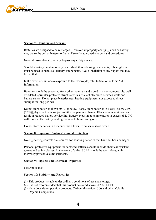

## **Section 7: Handling and Storage**

Batteries are designed to be recharged. However, improperly charging a cell or battery may cause the cell or battery to flame. Use only approved chargers and procedures.

Never disassemble a battery or bypass any safety device.

Should a battery unintentionally be crushed, thus releasing its contents, rubber gloves must be used to handle all battery components. Avoid inhalation of any vapors that may be emitted.

In the event of skin or eye exposure to the electrolyte, refer to Section 4, First Aid Information.

Batteries should be separated from other materials and stored in a non-combustible, well ventilated, sprinkler-protected structure with sufficient clearance between walls and battery stacks. Do not place batteries near heating equipment, nor expose to direct sunlight for long periods.

Do not store batteries above 60 °C or below -32°C. Store batteries in a cool (below 21°C (70°F)), dry area that is subject to little temperature change. Elevated temperatures can result in reduced battery service life. Battery exposure to temperatures in excess of 130°C will result in the battery venting flammable liquid and gases.

Do not store batteries in a manner that allows terminals to short circuit.

## **Section 8: Exposure Controls/Personal Protection**

No engineering controls are required for handling batteries that have not been damaged.

Personal protective equipment for damaged batteries should include chemical resistant gloves and safety glasses. In the event of a fire, SCBA should be worn along with thermally protective outer garments.

#### **Section 9: Physical and Chemical Properties**

Not Applicable

#### **Section 10: Stability and Reactivity**

- (1) This product is stable under ordinary conditions of use and storage.
- (2) It is not recommended that this product be stored above  $60^{\circ}$ C (140°F).
- (3) Hazardous decomposition products: Carbon Monoxide (CO) and other Volatile Organic Compounds.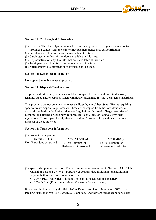

## **Section 11: Toxicological Information**

- (1) Irritancy: The electrolytes contained in this battery can irritate eyes with any contact. Prolonged contact with the skin or mucous membranes may cause irritation.
- (2) Sensitization: No information is available at this time.
- (3) Carcinogenicity: No information is available at this time.
- (4) Reproductive toxicity: No information is available at this time.
- (5) Teratogenicity: No information is available at this time.
- (6) Mutagenicity: No information is available at this time.

## **Section 12: Ecological Information**

Not applicable to this material/product.

## **Section 13: Disposal Considerations**

To prevent short circuit, batteries should be completely discharged prior to disposal, terminal taped and/or capped. When completely discharged it is not considered hazardous.

This product does not contain any materials listed by the United States EPA as requiring specific waste disposal requirements. These are exempted from the hazardous waste disposal standards under Universal Waste Regulations. Disposal of large quantities of Lithium Ion batteries or cells may be subject to Local, State or Federal / Provincial regulations. Consult your Local, State and Federal / Provincial regulations regarding disposal of these batteries.

## **Section 14: Transport Information**

| $(1)$ I Todact is shipped as. |                          |                          |  |
|-------------------------------|--------------------------|--------------------------|--|
| Ground (DOT)                  | Air (IATA/ICAO)          | Sea (IMDG)               |  |
| Non-Hazardous by ground       | UN3480 Lithium ion       | UN3480 Lithium ion       |  |
|                               | Batteries-Not restricted | Batteries-Not restricted |  |
|                               |                          |                          |  |
|                               |                          |                          |  |
|                               |                          |                          |  |
|                               |                          |                          |  |
|                               |                          |                          |  |

(1) Product is shipped as:

(2) Special shipping information. These batteries have been tested to Section 38.3 of 'UN Manual of Test and Criteria'. PortaPower declares that all lithium ion and lithium polymer batteries do not contain more than:

- 20Wh ELC (Equivalent Lithium Contents) for each cell inside battery.
- 100Wh ELC (Equivalent Lithium Contents) for each battery.

It is below the limits set by the 2013 IATA Dangerous Goods Regulations 54<sup>rd</sup> edition Packing Instruction 965/966 Section II is applied. And they are out of scope for Special